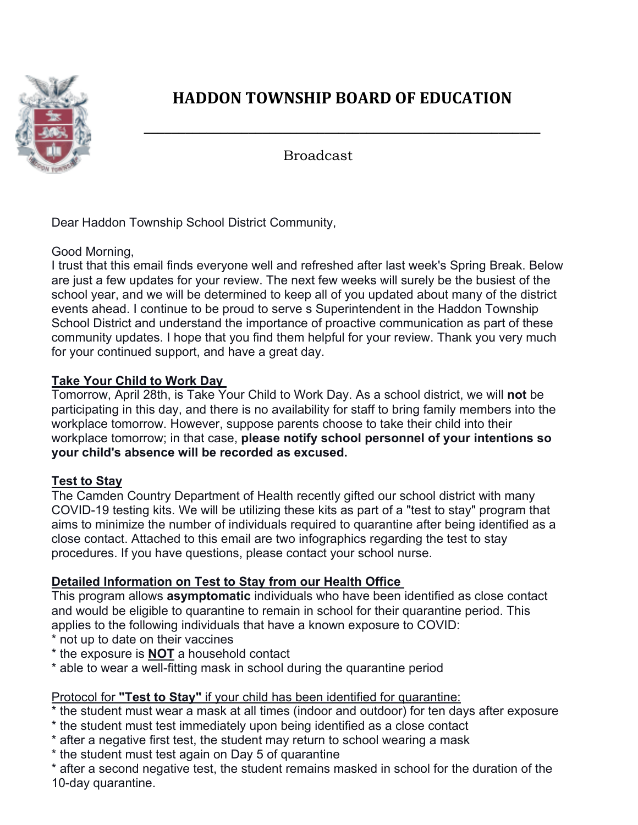

# **HADDON TOWNSHIP BOARD OF EDUCATION**

**\_\_\_\_\_\_\_\_\_\_\_\_\_\_\_\_\_\_\_\_\_\_\_\_\_\_\_\_\_\_\_\_\_\_\_\_\_\_\_\_\_\_\_\_\_\_\_\_\_\_\_\_\_\_\_\_\_**

Broadcast

Dear Haddon Township School District Community,

### Good Morning,

I trust that this email finds everyone well and refreshed after last week's Spring Break. Below are just a few updates for your review. The next few weeks will surely be the busiest of the school year, and we will be determined to keep all of you updated about many of the district events ahead. I continue to be proud to serve s Superintendent in the Haddon Township School District and understand the importance of proactive communication as part of these community updates. I hope that you find them helpful for your review. Thank you very much for your continued support, and have a great day.

## **Take Your Child to Work Day**

Tomorrow, April 28th, is Take Your Child to Work Day. As a school district, we will **not** be participating in this day, and there is no availability for staff to bring family members into the workplace tomorrow. However, suppose parents choose to take their child into their workplace tomorrow; in that case, **please notify school personnel of your intentions so your child's absence will be recorded as excused.**

## **Test to Stay**

The Camden Country Department of Health recently gifted our school district with many COVID-19 testing kits. We will be utilizing these kits as part of a "test to stay" program that aims to minimize the number of individuals required to quarantine after being identified as a close contact. Attached to this email are two infographics regarding the test to stay procedures. If you have questions, please contact your school nurse.

## **Detailed Information on Test to Stay from our Health Office**

This program allows **asymptomatic** individuals who have been identified as close contact and would be eligible to quarantine to remain in school for their quarantine period. This applies to the following individuals that have a known exposure to COVID:

- \* not up to date on their vaccines
- \* the exposure is **NOT** a household contact
- \* able to wear a well-fitting mask in school during the quarantine period

## Protocol for **"Test to Stay"** if your child has been identified for quarantine:

- the student must wear a mask at all times (indoor and outdoor) for ten days after exposure
- \* the student must test immediately upon being identified as a close contact
- \* after a negative first test, the student may return to school wearing a mask
- \* the student must test again on Day 5 of quarantine

\* after a second negative test, the student remains masked in school for the duration of the 10-day quarantine.